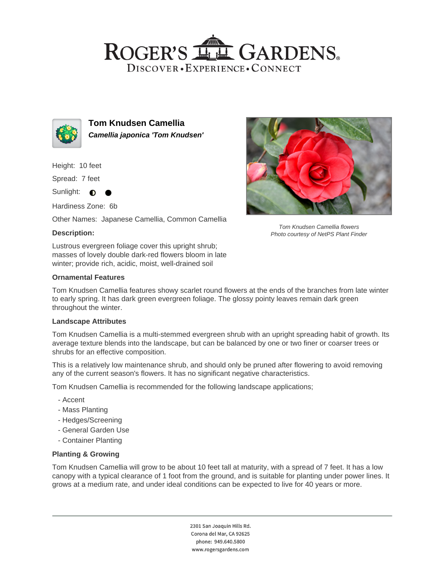## ROGER'S LL GARDENS. DISCOVER · EXPERIENCE · CONNECT



**Tom Knudsen Camellia Camellia japonica 'Tom Knudsen'**

Height: 10 feet

Spread: 7 feet

Sunlight:  $\bullet$ 

Hardiness Zone: 6b

Other Names: Japanese Camellia, Common Camellia

### **Description:**

Lustrous evergreen foliage cover this upright shrub; masses of lovely double dark-red flowers bloom in late winter; provide rich, acidic, moist, well-drained soil

#### **Ornamental Features**

Tom Knudsen Camellia flowers Photo courtesy of NetPS Plant Finder

Tom Knudsen Camellia features showy scarlet round flowers at the ends of the branches from late winter to early spring. It has dark green evergreen foliage. The glossy pointy leaves remain dark green throughout the winter.

#### **Landscape Attributes**

Tom Knudsen Camellia is a multi-stemmed evergreen shrub with an upright spreading habit of growth. Its average texture blends into the landscape, but can be balanced by one or two finer or coarser trees or shrubs for an effective composition.

This is a relatively low maintenance shrub, and should only be pruned after flowering to avoid removing any of the current season's flowers. It has no significant negative characteristics.

Tom Knudsen Camellia is recommended for the following landscape applications;

- Accent
- Mass Planting
- Hedges/Screening
- General Garden Use
- Container Planting

#### **Planting & Growing**

Tom Knudsen Camellia will grow to be about 10 feet tall at maturity, with a spread of 7 feet. It has a low canopy with a typical clearance of 1 foot from the ground, and is suitable for planting under power lines. It grows at a medium rate, and under ideal conditions can be expected to live for 40 years or more.

> 2301 San Joaquin Hills Rd. Corona del Mar, CA 92625 phone: 949.640.5800 www.rogersgardens.com